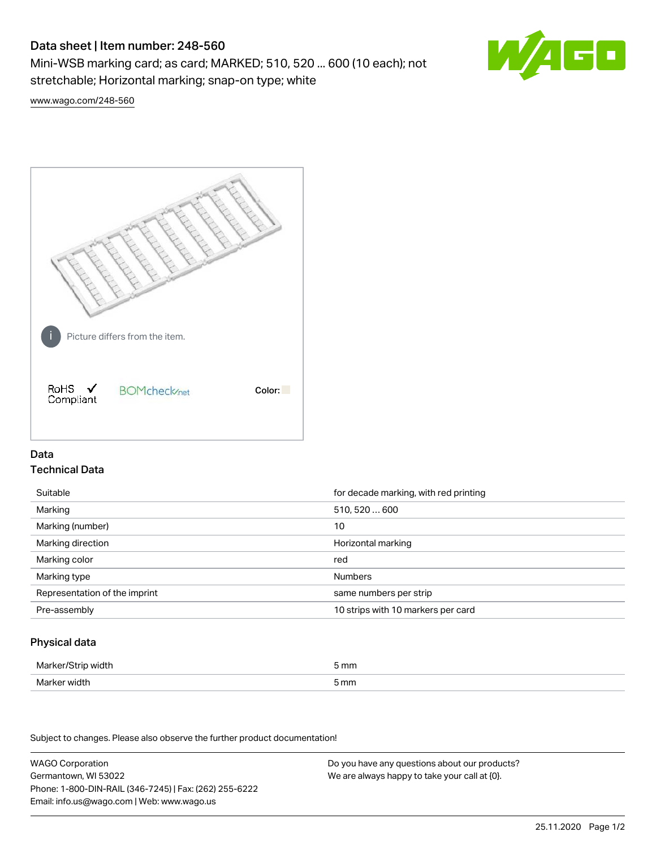# Data sheet | Item number: 248-560

Mini-WSB marking card; as card; MARKED; 510, 520 ... 600 (10 each); not stretchable; Horizontal marking; snap-on type; white



[www.wago.com/248-560](http://www.wago.com/248-560)



## Data Technical Data

| Suitable                      | for decade marking, with red printing |
|-------------------------------|---------------------------------------|
| Marking                       | 510, 520  600                         |
| Marking (number)              | 10                                    |
| Marking direction             | Horizontal marking                    |
| Marking color                 | red                                   |
| Marking type                  | <b>Numbers</b>                        |
| Representation of the imprint | same numbers per strip                |
| Pre-assembly                  | 10 strips with 10 markers per card    |

### Physical data

| Marker/Strip width | 5 mm |
|--------------------|------|
| Marker width       | 5 mm |

Subject to changes. Please also observe the further product documentation!

WAGO Corporation Germantown, WI 53022 Phone: 1-800-DIN-RAIL (346-7245) | Fax: (262) 255-6222 Email: info.us@wago.com | Web: www.wago.us Do you have any questions about our products? We are always happy to take your call at {0}.